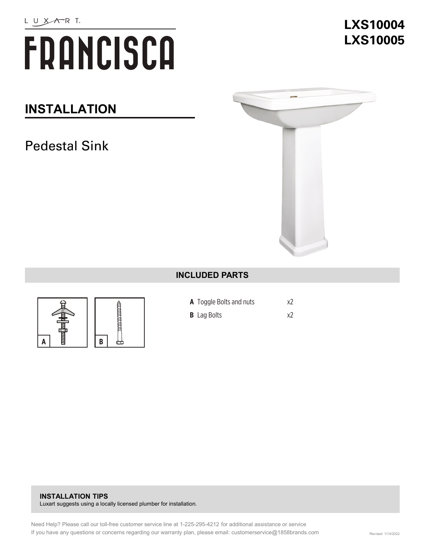# FRANCISCA

### **INSTALLATION**

## Pedestal Sink



#### **INCLUDED PARTS**





- **A** Toggle Bolts and nuts x2
- **B** Lag Bolts x2

#### **INSTALLATION TIPS**  Luxart suggests using a locally licensed plumber for installation.

# **LXS10004 LXS10005**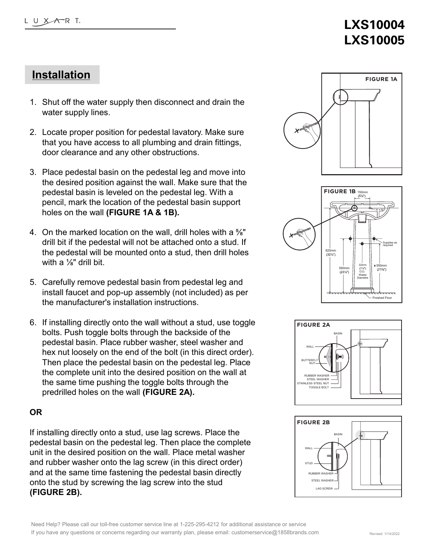# **LXS10004 LXS10005**

#### **Installation**

- 1. Shut off the water supply then disconnect and drain the water supply lines.
- 2. Locate proper position for pedestal lavatory. Make sure that you have access to all plumbing and drain fittings, door clearance and any other obstructions.
- 3. Place pedestal basin on the pedestal leg and move into the desired position against the wall. Make sure that the pedestal basin is leveled on the pedestal leg. With a pencil, mark the location of the pedestal basin support holes on the wall **(FIGURE 1A & 1B).**
- 4. On the marked location on the wall, drill holes with a ⅝" drill bit if the pedestal will not be attached onto a stud. If the pedestal will be mounted onto a stud, then drill holes with a  $\frac{1}{8}$ " drill bit.
- 5. Carefully remove pedestal basin from pedestal leg and install faucet and pop-up assembly (not included) as per the manufacturer's installation instructions.
- 6. If installing directly onto the wall without a stud, use toggle bolts. Push toggle bolts through the backside of the pedestal basin. Place rubber washer, steel washer and hex nut loosely on the end of the bolt (in this direct order). Then place the pedestal basin on the pedestal leg. Place the complete unit into the desired position on the wall at the same time pushing the toggle bolts through the predrilled holes on the wall **(FIGURE 2A).**

#### **OR**

If installing directly onto a stud, use lag screws. Place the pedestal basin on the pedestal leg. Then place the complete unit in the desired position on the wall. Place metal washer and rubber washer onto the lag screw (in this direct order) and at the same time fastening the pedestal basin directly onto the stud by screwing the lag screw into the stud **(FIGURE 2B).**







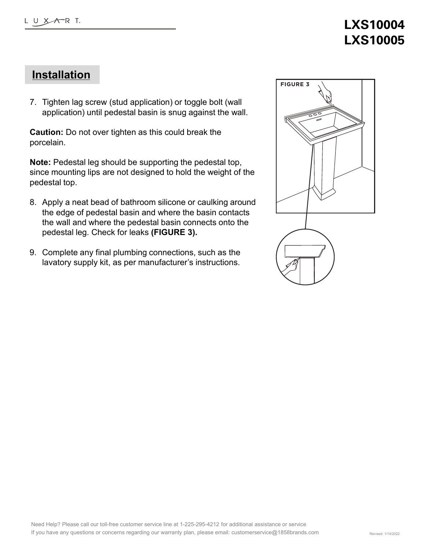## **LXS10004 LXS10005**

#### **Installation**

7. Tighten lag screw (stud application) or toggle bolt (wall application) until pedestal basin is snug against the wall.

**Caution:** Do not over tighten as this could break the porcelain.

**Note:** Pedestal leg should be supporting the pedestal top, since mounting lips are not designed to hold the weight of the pedestal top.

- 8. Apply a neat bead of bathroom silicone or caulking around the edge of pedestal basin and where the basin contacts the wall and where the pedestal basin connects onto the pedestal leg. Check for leaks **(FIGURE 3).**
- 9. Complete any final plumbing connections, such as the lavatory supply kit, as per manufacturer's instructions.